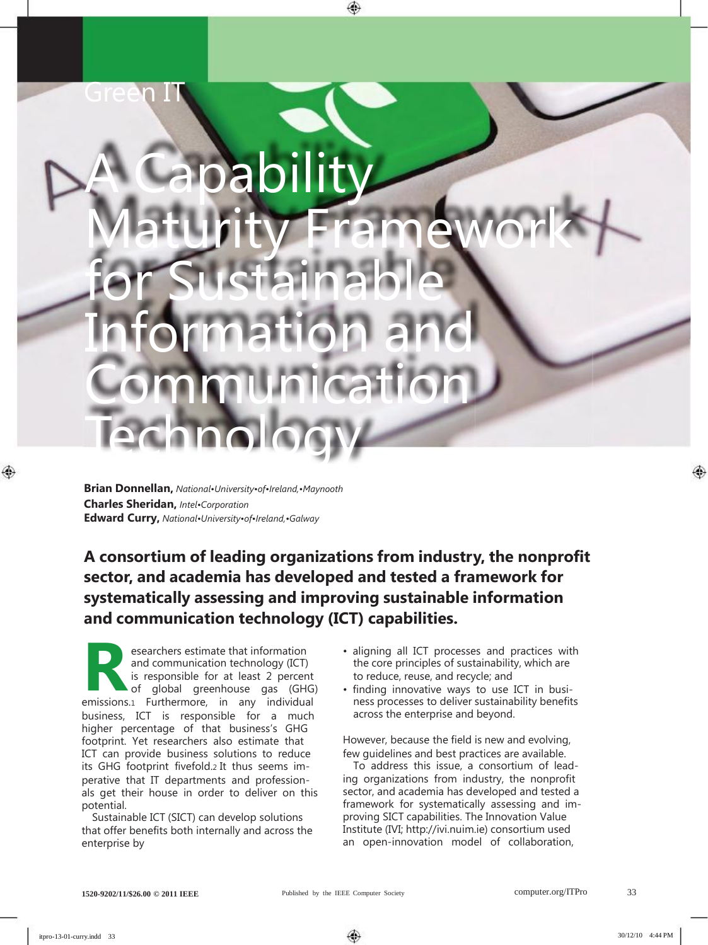## Green IT

# A Capability Maturity Framework for Sustainable Information and Communication Technology

◈

**Brian Donnellan,** *National•University•of•Ireland,•Maynooth* **Charles Sheridan,** *Intel•Corporation* **Edward Curry,** *National•University•of•Ireland,•Galway*

**A consortium of leading organizations from industry, the nonprofit sector, and academia has developed and tested a framework for systematically assessing and improving sustainable information and communication technology (ICT) capabilities.**

**R** esearchers estimate that information and communication technology (ICT) is responsible for at least 2 percent of global greenhouse gas (GHG) emissions.<sup>1</sup> Furthermore, in any individual business, ICT is responsible for a much higher percentage of that business's GHG footprint. Yet researchers also estimate that ICT can provide business solutions to reduce its GHG footprint fivefold.<sup>2</sup> It thus seems imperative that IT departments and professionals get their house in order to deliver on this potential.

Sustainable ICT (SICT) can develop solutions that offer benefits both internally and across the enterprise by

- aligning all ICT processes and practices with the core principles of sustainability, which are to reduce, reuse, and recycle; and
- finding innovative ways to use ICT in business processes to deliver sustainability benefits across the enterprise and beyond.

However, because the field is new and evolving, few guidelines and best practices are available.

To address this issue, a consortium of leading organizations from industry, the nonprofit sector, and academia has developed and tested a framework for systematically assessing and improving SICT capabilities. The Innovation Value Institute (IVI; http://ivi.nuim.ie) consortium used an open-innovation model of collaboration,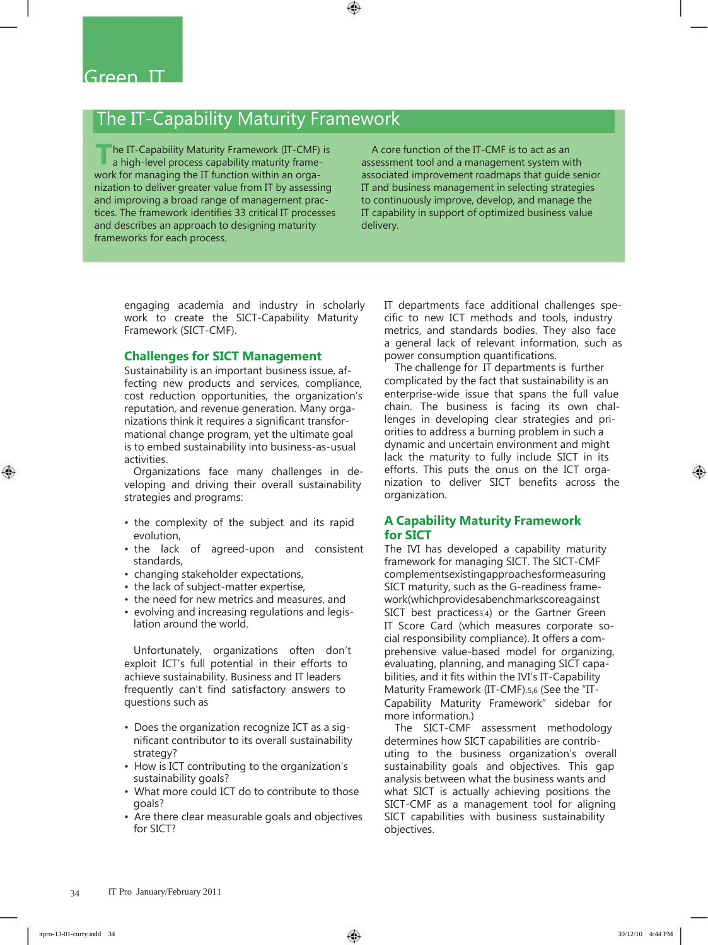## The IT-Capability Maturity Framework

⊙

**T** he IT-Capability Maturity Framework (IT-CMF) is a high-level process capability maturity framework for managing the IT function within an organization to deliver greater value from IT by assessing and improving a broad range of management practices. The framework identifies 33 critical IT processes and describes an approach to designing maturity frameworks for each process.

A core function of the IT-CMF is to act as an assessment tool and a management system with associated improvement roadmaps that guide senior IT and business management in selecting strategies to continuously improve, develop, and manage the IT capability in support of optimized business value delivery.

engaging academia and industry in scholarly work to create the SICT-Capability Maturity Framework (SICT-CMF).

## **Challenges for SICT Management**

Sustainability is an important business issue, affecting new products and services, compliance, cost reduction opportunities, the organization's reputation, and revenue generation. Many organizations think it requires a significant transformational change program, yet the ultimate goal is to embed sustainability into business-as-usual activities.

Organizations face many challenges in developing and driving their overall sustainability strategies and programs:

- the complexity of the subject and its rapid evolution,
- the lack of agreed-upon and consistent standards,
- changing stakeholder expectations,
- the lack of subject-matter expertise,
- the need for new metrics and measures, and
- evolving and increasing regulations and legislation around the world.

Unfortunately, organizations often don't exploit ICT's full potential in their efforts to achieve sustainability. Business and IT leaders frequently can't find satisfactory answers to questions such as

- Does the organization recognize ICT as a significant contributor to its overall sustainability strategy?
- How is ICT contributing to the organization's sustainability goals?
- What more could ICT do to contribute to those goals?
- Are there clear measurable goals and objectives for SICT?

IT departments face additional challenges specific to new ICT methods and tools, industry metrics, and standards bodies. They also face a general lack of relevant information, such as power consumption quantifications.

The challenge for IT departments is further complicated by the fact that sustainability is an enterprise-wide issue that spans the full value chain. The business is facing its own challenges in developing clear strategies and priorities to address a burning problem in such a dynamic and uncertain environment and might lack the maturity to fully include SICT in its efforts. This puts the onus on the ICT organization to deliver SICT benefits across the organization.

## **A Capability Maturity Framework for SICT**

The IVI has developed a capability maturity framework for managing SICT. The SICT-CMF complementsexistingapproachesformeasuring SICT maturity, such as the G-readiness framework(whichprovidesabenchmarkscoreagainst SICT best practices3,4) or the Gartner Green IT Score Card (which measures corporate social responsibility compliance). It offers a comprehensive value-based model for organizing, evaluating, planning, and managing SICT capabilities, and it fits within the IVI's IT-Capability Maturity Framework (IT-CMF).5,6 (See the "IT-Capability Maturity Framework" sidebar for more information.)

The SICT-CMF assessment methodology determines how SICT capabilities are contributing to the business organization's overall sustainability goals and objectives. This gap analysis between what the business wants and what SICT is actually achieving positions the SICT-CMF as a management tool for aligning SICT capabilities with business sustainability objectives.

⊕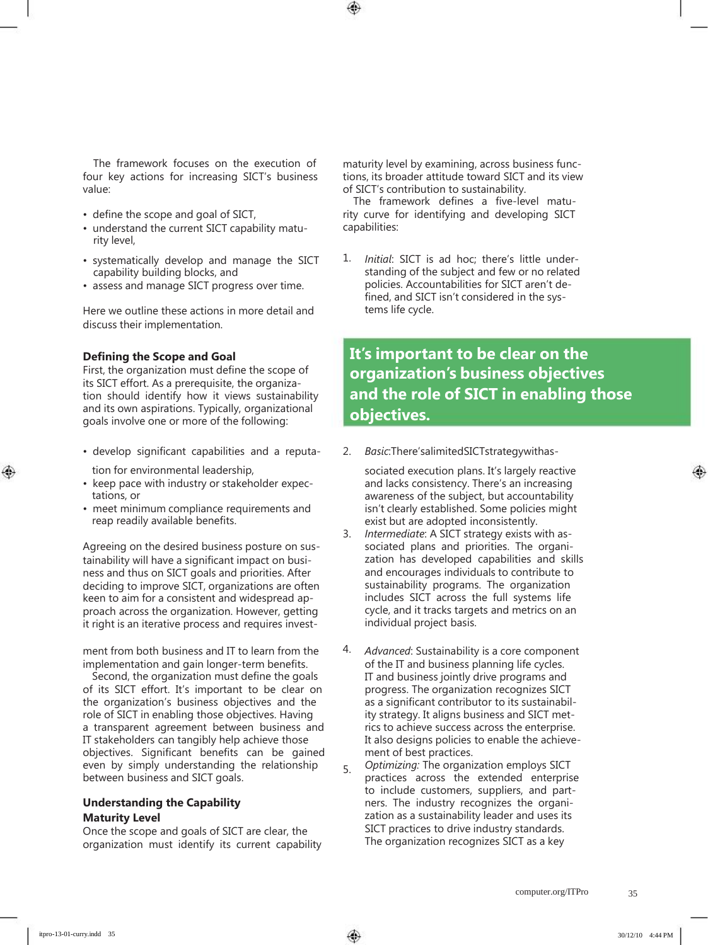The framework focuses on the execution of four key actions for increasing SICT's business value:

- define the scope and goal of SICT,
- understand the current SICT capability maturity level,
- systematically develop and manage the SICT capability building blocks, and
- assess and manage SICT progress over time.

Here we outline these actions in more detail and discuss their implementation.

### **Defining the Scope and Goal**

First, the organization must define the scope of its SICT effort. As a prerequisite, the organization should identify how it views sustainability and its own aspirations. Typically, organizational goals involve one or more of the following:

- develop significant capabilities and a reputation for environmental leadership,
- keep pace with industry or stakeholder expectations, or
- meet minimum compliance requirements and reap readily available benefits.

Agreeing on the desired business posture on sustainability will have a significant impact on business and thus on SICT goals and priorities. After deciding to improve SICT, organizations are often keen to aim for a consistent and widespread approach across the organization. However, getting it right is an iterative process and requires invest-

ment from both business and IT to learn from the implementation and gain longer-term benefits.

Second, the organization must define the goals of its SICT effort. It's important to be clear on the organization's business objectives and the role of SICT in enabling those objectives. Having a transparent agreement between business and IT stakeholders can tangibly help achieve those objectives. Significant benefits can be gained even by simply understanding the relationship between business and SICT goals.

## **Understanding the Capability Maturity Level**

Once the scope and goals of SICT are clear, the organization must identify its current capability maturity level by examining, across business functions, its broader attitude toward SICT and its view of SICT's contribution to sustainability.

⊙

The framework defines a five-level maturity curve for identifying and developing SICT capabilities:

1. *Initial*: SICT is ad hoc; there's little understanding of the subject and few or no related policies. Accountabilities for SICT aren't defined, and SICT isn't considered in the systems life cycle.

## **It's important to be clear on the organization's business objectives and the role of SICT in enabling those objectives.**

2. *Basic*:There'salimitedSICTstrategywithas-

sociated execution plans. It's largely reactive and lacks consistency. There's an increasing awareness of the subject, but accountability isn't clearly established. Some policies might exist but are adopted inconsistently.

- 3. *Intermediate*: A SICT strategy exists with associated plans and priorities. The organization has developed capabilities and skills and encourages individuals to contribute to sustainability programs. The organization includes SICT across the full systems life cycle, and it tracks targets and metrics on an individual project basis.
- 4. *Advanced*: Sustainability is a core component of the IT and business planning life cycles. IT and business jointly drive programs and progress. The organization recognizes SICT as a significant contributor to its sustainability strategy. It aligns business and SICT metrics to achieve success across the enterprise. It also designs policies to enable the achievement of best practices.
- 5. *Optimizing:* The organization employs SICT practices across the extended enterprise to include customers, suppliers, and partners. The industry recognizes the organization as a sustainability leader and uses its SICT practices to drive industry standards. The organization recognizes SICT as a key

◈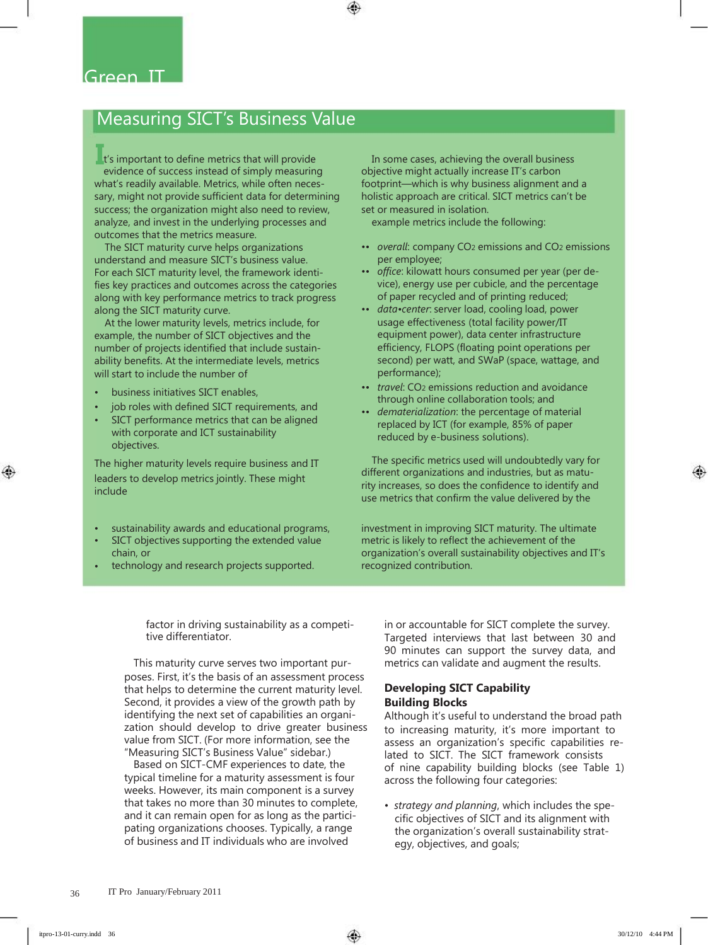## Measuring SICT's Business Value

**I** t's important to define metrics that will provide evidence of success instead of simply measuring what's readily available. Metrics, while often necessary, might not provide sufficient data for determining success; the organization might also need to review, analyze, and invest in the underlying processes and outcomes that the metrics measure.

The SICT maturity curve helps organizations understand and measure SICT's business value. For each SICT maturity level, the framework identifies key practices and outcomes across the categories along with key performance metrics to track progress along the SICT maturity curve.

At the lower maturity levels, metrics include, for example, the number of SICT objectives and the number of projects identified that include sustainability benefits. At the intermediate levels, metrics will start to include the number of

- business initiatives SICT enables,
- job roles with defined SICT requirements, and SICT performance metrics that can be aligned
- with corporate and ICT sustainability objectives.

The higher maturity levels require business and IT leaders to develop metrics jointly. These might include

- sustainability awards and educational programs,
- SICT objectives supporting the extended value chain, or
- technology and research projects supported.

In some cases, achieving the overall business objective might actually increase IT's carbon footprint—which is why business alignment and a holistic approach are critical. SICT metrics can't be set or measured in isolation.

example metrics include the following:

- •*• overall*: company CO<sup>2</sup> emissions and CO<sup>2</sup> emissions per employee;
- •*• office*: kilowatt hours consumed per year (per device), energy use per cubicle, and the percentage of paper recycled and of printing reduced;
- •*• data•center*: server load, cooling load, power usage effectiveness (total facility power/IT equipment power), data center infrastructure efficiency, FLOPS (floating point operations per second) per watt, and SWaP (space, wattage, and performance);
- •*• travel*: CO<sup>2</sup> emissions reduction and avoidance through online collaboration tools; and
- •*• dematerialization*: the percentage of material replaced by ICT (for example, 85% of paper reduced by e-business solutions).

The specific metrics used will undoubtedly vary for different organizations and industries, but as maturity increases, so does the confidence to identify and use metrics that confirm the value delivered by the

investment in improving SICT maturity. The ultimate metric is likely to reflect the achievement of the organization's overall sustainability objectives and IT's recognized contribution.

factor in driving sustainability as a competitive differentiator.

This maturity curve serves two important purposes. First, it's the basis of an assessment process that helps to determine the current maturity level. Second, it provides a view of the growth path by identifying the next set of capabilities an organization should develop to drive greater business value from SICT. (For more information, see the "Measuring SICT's Business Value" sidebar.)

Based on SICT-CMF experiences to date, the typical timeline for a maturity assessment is four weeks. However, its main component is a survey that takes no more than 30 minutes to complete, and it can remain open for as long as the participating organizations chooses. Typically, a range of business and IT individuals who are involved

in or accountable for SICT complete the survey. Targeted interviews that last between 30 and 90 minutes can support the survey data, and metrics can validate and augment the results.

## **Developing SICT Capability Building Blocks**

Although it's useful to understand the broad path to increasing maturity, it's more important to assess an organization's specific capabilities related to SICT. The SICT framework consists of nine capability building blocks (see Table 1) across the following four categories:

• *strategy and planning*, which includes the specific objectives of SICT and its alignment with the organization's overall sustainability strategy, objectives, and goals;

⊕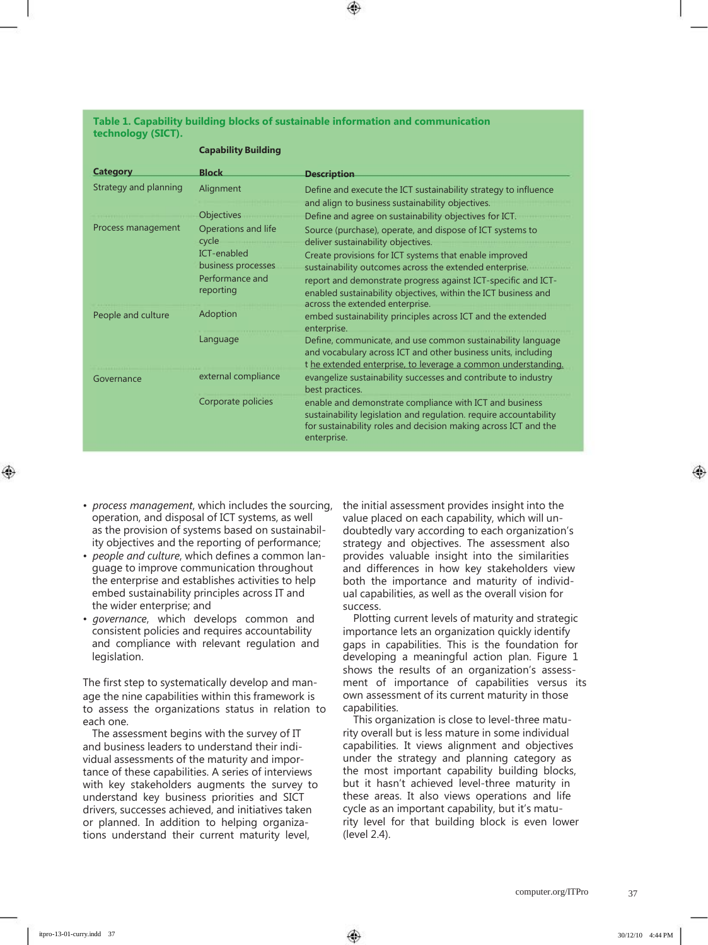#### **Table 1. Capability building blocks of sustainable information and communication technology (SICT).**

| <b>Category</b>       | <b>Capability Building</b>        |                                                                                                                                                                                                                |
|-----------------------|-----------------------------------|----------------------------------------------------------------------------------------------------------------------------------------------------------------------------------------------------------------|
|                       | <b>Block</b>                      | <b>Description</b>                                                                                                                                                                                             |
| Strategy and planning | Alignment                         | Define and execute the ICT sustainability strategy to influence<br>and align to business sustainability objectives.                                                                                            |
|                       | <b>Objectives</b>                 | Define and agree on sustainability objectives for ICT.                                                                                                                                                         |
| Process management    | Operations and life<br>cycle      | Source (purchase), operate, and dispose of ICT systems to<br>deliver sustainability objectives.                                                                                                                |
|                       | ICT-enabled<br>business processes | Create provisions for ICT systems that enable improved<br>sustainability outcomes across the extended enterprise.                                                                                              |
|                       | Performance and<br>reporting      | report and demonstrate progress against ICT-specific and ICT-<br>enabled sustainability objectives, within the ICT business and<br>across the extended enterprise.                                             |
| People and culture    | Adoption                          | embed sustainability principles across ICT and the extended<br>enterprise.                                                                                                                                     |
|                       | Language                          | Define, communicate, and use common sustainability language<br>and vocabulary across ICT and other business units, including<br>t he extended enterprise, to leverage a common understanding.                  |
| Governance            | external compliance               | evangelize sustainability successes and contribute to industry<br>best practices.                                                                                                                              |
|                       | Corporate policies                | enable and demonstrate compliance with ICT and business<br>sustainability legislation and regulation. require accountability<br>for sustainability roles and decision making across ICT and the<br>enterprise. |

- *process management*, which includes the sourcing, operation, and disposal of ICT systems, as well as the provision of systems based on sustainability objectives and the reporting of performance;
- *people and culture*, which defines a common language to improve communication throughout the enterprise and establishes activities to help embed sustainability principles across IT and the wider enterprise; and
- *governance*, which develops common and consistent policies and requires accountability and compliance with relevant regulation and legislation.

The first step to systematically develop and manage the nine capabilities within this framework is to assess the organizations status in relation to each one.

The assessment begins with the survey of IT and business leaders to understand their individual assessments of the maturity and importance of these capabilities. A series of interviews with key stakeholders augments the survey to understand key business priorities and SICT drivers, successes achieved, and initiatives taken or planned. In addition to helping organizations understand their current maturity level,

the initial assessment provides insight into the value placed on each capability, which will undoubtedly vary according to each organization's strategy and objectives. The assessment also provides valuable insight into the similarities and differences in how key stakeholders view both the importance and maturity of individual capabilities, as well as the overall vision for success.

Plotting current levels of maturity and strategic importance lets an organization quickly identify gaps in capabilities. This is the foundation for developing a meaningful action plan. Figure 1 shows the results of an organization's assessment of importance of capabilities versus its own assessment of its current maturity in those capabilities.

This organization is close to level-three maturity overall but is less mature in some individual capabilities. It views alignment and objectives under the strategy and planning category as the most important capability building blocks, but it hasn't achieved level-three maturity in these areas. It also views operations and life cycle as an important capability, but it's maturity level for that building block is even lower (level 2.4).

⊛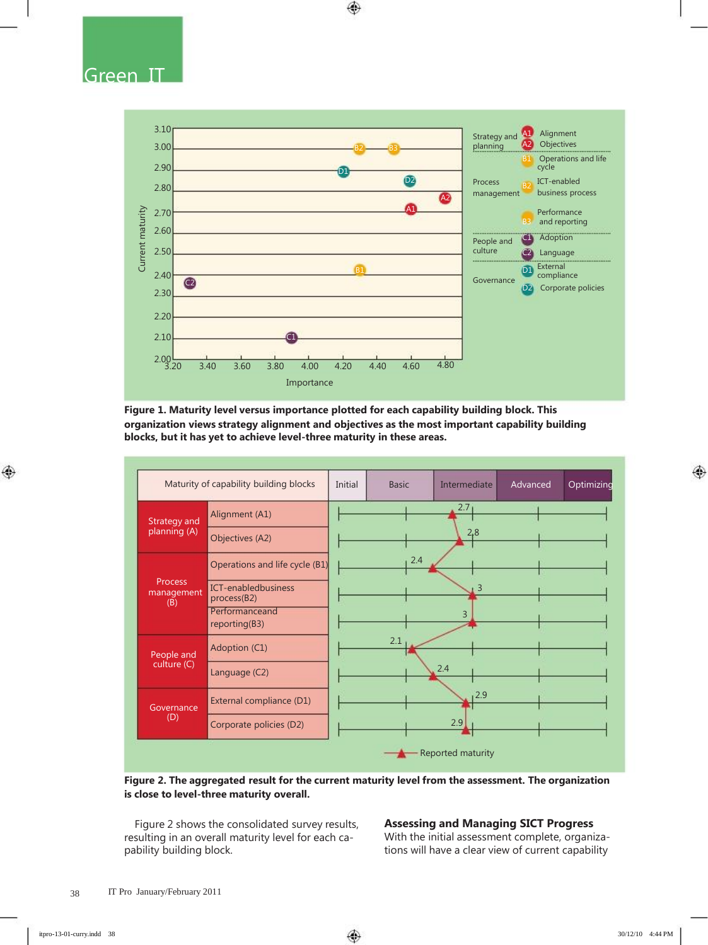## Green IT



◈

**Figure 1. Maturity level versus importance plotted for each capability building block. This organization views strategy alignment and objectives as the most important capability building blocks, but it has yet to achieve level-three maturity in these areas.**



**Figure 2. The aggregated result for the current maturity level from the assessment. The organization is close to level-three maturity overall.**

Figure 2 shows the consolidated survey results, resulting in an overall maturity level for each capability building block.

## **Assessing and Managing SICT Progress**

With the initial assessment complete, organizations will have a clear view of current capability

◈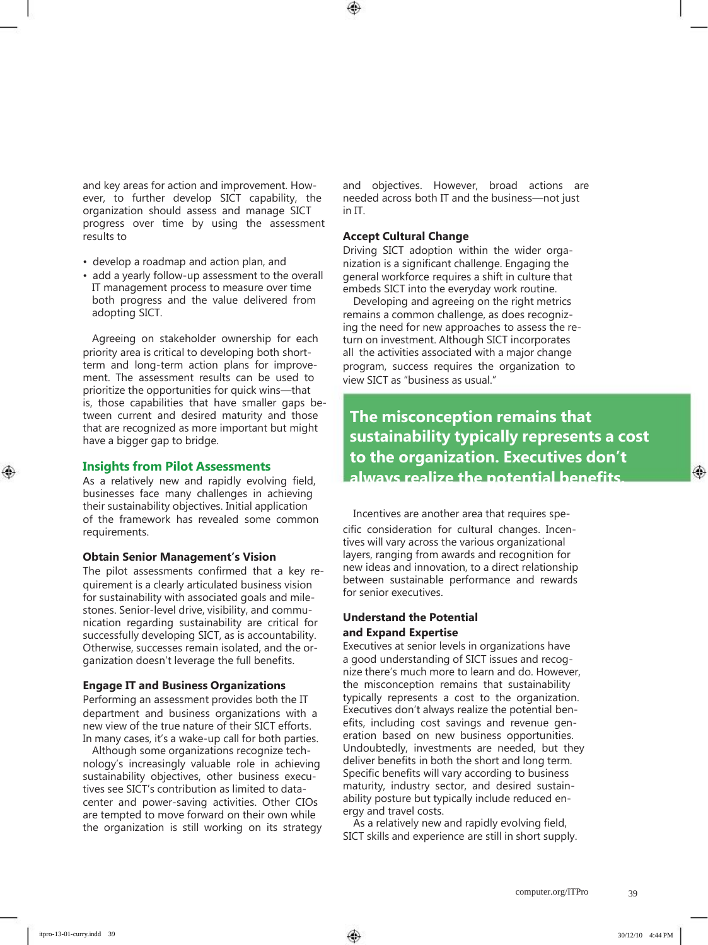and key areas for action and improvement. However, to further develop SICT capability, the organization should assess and manage SICT progress over time by using the assessment results to

- develop a roadmap and action plan, and
- add a yearly follow-up assessment to the overall IT management process to measure over time both progress and the value delivered from adopting SICT.

Agreeing on stakeholder ownership for each priority area is critical to developing both shortterm and long-term action plans for improvement. The assessment results can be used to prioritize the opportunities for quick wins—that is, those capabilities that have smaller gaps between current and desired maturity and those that are recognized as more important but might have a bigger gap to bridge.

#### **Insights from Pilot Assessments**

As a relatively new and rapidly evolving field, businesses face many challenges in achieving their sustainability objectives. Initial application of the framework has revealed some common requirements.

#### **Obtain Senior Management's Vision**

The pilot assessments confirmed that a key requirement is a clearly articulated business vision for sustainability with associated goals and milestones. Senior-level drive, visibility, and communication regarding sustainability are critical for successfully developing SICT, as is accountability. Otherwise, successes remain isolated, and the organization doesn't leverage the full benefits.

#### **Engage IT and Business Organizations**

Performing an assessment provides both the IT department and business organizations with a new view of the true nature of their SICT efforts. In many cases, it's a wake-up call for both parties.

Although some organizations recognize technology's increasingly valuable role in achieving sustainability objectives, other business executives see SICT's contribution as limited to datacenter and power-saving activities. Other CIOs are tempted to move forward on their own while the organization is still working on its strategy and objectives. However, broad actions are needed across both IT and the business—not just in IT.

## **Accept Cultural Change**

◉

Driving SICT adoption within the wider organization is a significant challenge. Engaging the general workforce requires a shift in culture that embeds SICT into the everyday work routine.

Developing and agreeing on the right metrics remains a common challenge, as does recognizing the need for new approaches to assess the return on investment. Although SICT incorporates all the activities associated with a major change program, success requires the organization to view SICT as "business as usual."

**The misconception remains that sustainability typically represents a cost to the organization. Executives don't always realize the potential benefits.**

Incentives are another area that requires specific consideration for cultural changes. Incentives will vary across the various organizational layers, ranging from awards and recognition for new ideas and innovation, to a direct relationship between sustainable performance and rewards for senior executives.

## **Understand the Potential and Expand Expertise**

⊙

Executives at senior levels in organizations have a good understanding of SICT issues and recognize there's much more to learn and do. However, the misconception remains that sustainability typically represents a cost to the organization. Executives don't always realize the potential benefits, including cost savings and revenue generation based on new business opportunities. Undoubtedly, investments are needed, but they deliver benefits in both the short and long term. Specific benefits will vary according to business maturity, industry sector, and desired sustainability posture but typically include reduced energy and travel costs.

As a relatively new and rapidly evolving field, SICT skills and experience are still in short supply.

◈